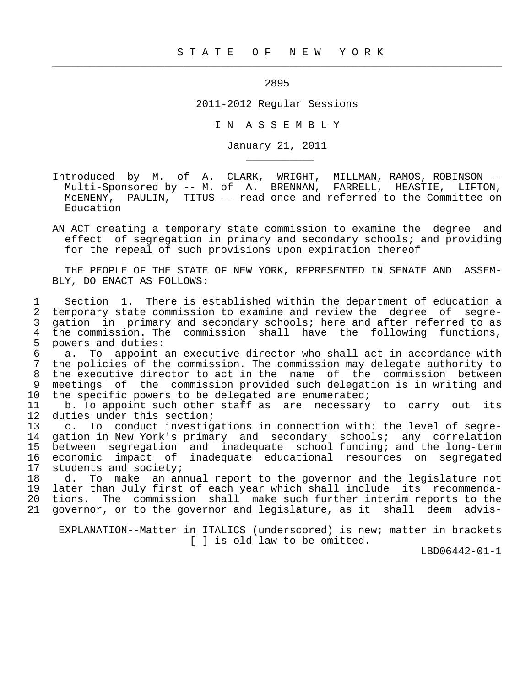<u>2895</u>

 $\frac{1}{2}$  , and the contribution of the contribution of the contribution of the contribution of the contribution of the contribution of the contribution of the contribution of the contribution of the contribution of the c

\_\_\_\_\_\_\_\_\_\_\_

2011-2012 Regular Sessions

I N A S S E M B L Y

January 21, 2011

 Introduced by M. of A. CLARK, WRIGHT, MILLMAN, RAMOS, ROBINSON -- Multi-Sponsored by -- M. of A. BRENNAN, FARRELL, HEASTIE, LIFTON, McENENY, PAULIN, TITUS -- read once and referred to the Committee on Education

 AN ACT creating a temporary state commission to examine the degree and effect of segregation in primary and secondary schools; and providing for the repeal of such provisions upon expiration thereof

 THE PEOPLE OF THE STATE OF NEW YORK, REPRESENTED IN SENATE AND ASSEM- BLY, DO ENACT AS FOLLOWS:

 1 Section 1. There is established within the department of education a 2 temporary state commission to examine and review the degree of segre-<br>3 gation in primary and secondary schools; here and after referred to as 3 gation in primary and secondary schools; here and after referred to as<br>4 the commission. The commission shall have the following functions. 4 the commission. The commission shall have the following functions,<br>5 powers and duties: 5 powers and duties:<br>6 a. To appoint

 6 a. To appoint an executive director who shall act in accordance with 7 the policies of the commission. The commission may delegate authority to 8 the executive director to act in the name of the commission between<br>9 meetings of the commission provided such delegation is in writing and 9 meetings of the commission provided such delegation is in writing and<br>10 the specific powers to be delegated are enumerated; 10 the specific powers to be delegated are enumerated;<br>11 b. To appoint such other staff as are necessary

11 b. To appoint such other staff as are necessary to carry out its<br>12 duties under this section; 12 duties under this section;<br>13 c. To conduct investig

c. To conduct investigations in connection with: the level of segre- 14 gation in New York's primary and secondary schools; any correlation 15 between segregation and inadequate school funding; and the long-term 16 economic impact of inadequate educational resources on segregated<br>17 students and society; 17 students and society;<br>18 d. To make an any

18 d. To make an annual report to the governor and the legislature not<br>19 later than July first of each year which shall include its recommendalater than July first of each year which shall include its recommenda- 20 tions. The commission shall make such further interim reports to the 21 governor, or to the governor and legislature, as it shall deem advis-

 EXPLANATION--Matter in ITALICS (underscored) is new; matter in brackets [ ] is old law to be omitted.

LBD06442-01-1